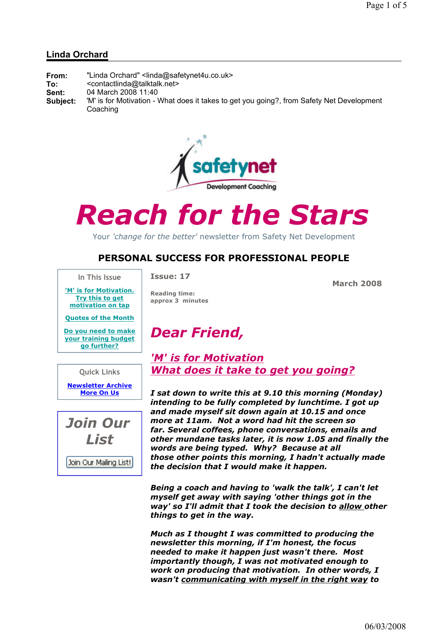### Linda Orchard

| 'M' is for Motivation - What does it takes to get you going?, from Safety Net Development |
|-------------------------------------------------------------------------------------------|
|                                                                                           |



# Reach for the Stars

Your 'change for the better' newsletter from Safety Net Development

### PERSONAL SUCCESS FOR PROFESSIONAL PEOPLE

In This Issue

Issue: 17

Reading time: approx 3 minutes

Dear Friend,

March 2008

'M' is for Motivation. Try this to get motivation on tap

Quotes of the Month

Do you need to make your training budget go further?

Quick Links Newsletter Archive More On Us



'M' is for Motivation What does it take to get you going?

I sat down to write this at 9.10 this morning (Monday) intending to be fully completed by lunchtime. I got up and made myself sit down again at 10.15 and once more at 11am. Not a word had hit the screen so far. Several coffees, phone conversations, emails and other mundane tasks later, it is now 1.05 and finally the words are being typed. Why? Because at all those other points this morning, I hadn't actually made the decision that I would make it happen.

Being a coach and having to 'walk the talk', I can't let myself get away with saying 'other things got in the way' so I'll admit that I took the decision to allow other things to get in the way.

Much as I thought I was committed to producing the newsletter this morning, if I'm honest, the focus needed to make it happen just wasn't there. Most importantly though, I was not motivated enough to work on producing that motivation. In other words, I wasn't communicating with myself in the right way to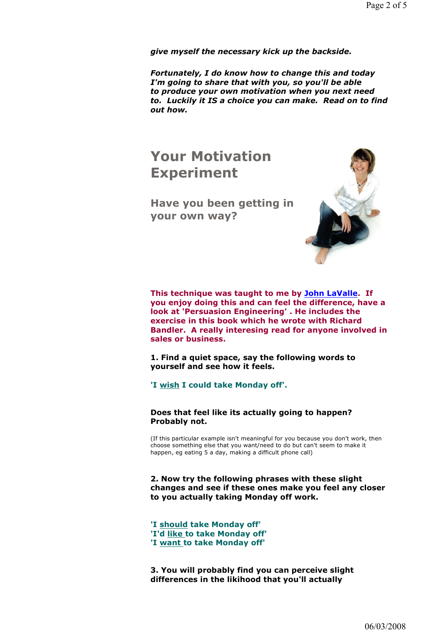give myself the necessary kick up the backside.

Fortunately, I do know how to change this and today I'm going to share that with you, so you'll be able to produce your own motivation when you next need to. Luckily it IS a choice you can make. Read on to find out how.

### Your Motivation Experiment

Have you been getting in your own way?



This technique was taught to me by John LaValle. If you enjoy doing this and can feel the difference, have a look at 'Persuasion Engineering' . He includes the exercise in this book which he wrote with Richard Bandler. A really interesing read for anyone involved in sales or business.

1. Find a quiet space, say the following words to yourself and see how it feels.

### 'I wish I could take Monday off'.

#### Does that feel like its actually going to happen? Probably not.

(If this particular example isn't meaningful for you because you don't work, then choose something else that you want/need to do but can't seem to make it happen, eg eating 5 a day, making a difficult phone call)

2. Now try the following phrases with these slight changes and see if these ones make you feel any closer to you actually taking Monday off work.

'I should take Monday off' 'I'd like to take Monday off' 'I want to take Monday off'

3. You will probably find you can perceive slight differences in the likihood that you'll actually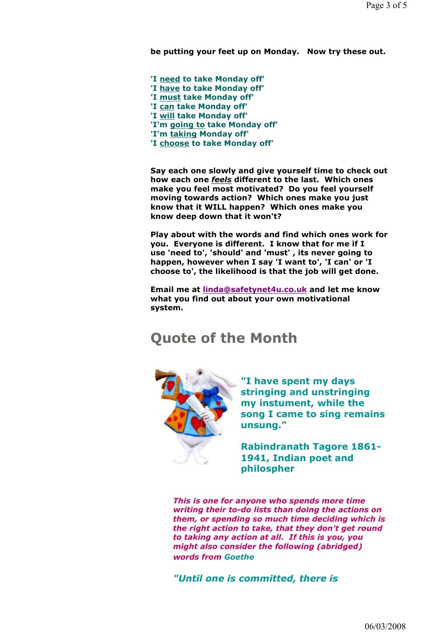be putting your feet up on Monday. Now try these out.

'I need to take Monday off' 'I have to take Monday off' 'I must take Monday off' 'I can take Monday off' 'I will take Monday off' 'I'm going to take Monday off' 'I'm taking Monday off' 'I choose to take Monday off'

Say each one slowly and give yourself time to check out how each one feels different to the last. Which ones make you feel most motivated? Do you feel yourself moving towards action? Which ones make you just know that it WILL happen? Which ones make you know deep down that it won't?

Play about with the words and find which ones work for you. Everyone is different. I know that for me if I use 'need to', 'should' and 'must' , its never going to happen, however when I say 'I want to', 'I can' or 'I choose to', the likelihood is that the job will get done.

Email me at linda@safetynet4u.co.uk and let me know what you find out about your own motivational system.

### Quote of the Month



"I have spent my days stringing and unstringing my instument, while the song I came to sing remains unsung."

Rabindranath Tagore 1861- 1941, Indian poet and philospher

This is one for anyone who spends more time writing their to-do lists than doing the actions on them, or spending so much time deciding which is the right action to take, that they don't get round to taking any action at all. If this is you, you might also consider the following (abridged) words from Goethe

"Until one is committed, there is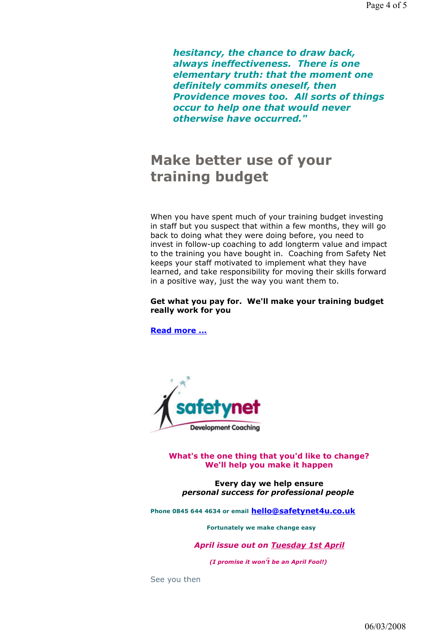hesitancy, the chance to draw back, always ineffectiveness. There is one elementary truth: that the moment one definitely commits oneself, then Providence moves too. All sorts of things occur to help one that would never otherwise have occurred."

### Make better use of your training budget

When you have spent much of your training budget investing in staff but you suspect that within a few months, they will go back to doing what they were doing before, you need to invest in follow-up coaching to add longterm value and impact to the training you have bought in. Coaching from Safety Net keeps your staff motivated to implement what they have learned, and take responsibility for moving their skills forward in a positive way, just the way you want them to.

### Get what you pay for. We'll make your training budget really work for you

Read more ...



What's the one thing that you'd like to change? We'll help you make it happen

Every day we help ensure personal success for professional people

Phone 0845 644 4634 or email hello@safetynet4u.co.uk

Fortunately we make change easy

April issue out on Tuesday 1st April

(I promise it won't be an April Fool!)

See you then